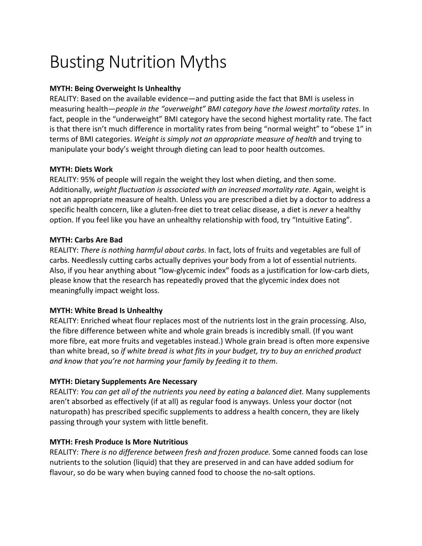# Busting Nutrition Myths

## **MYTH: Being Overweight Is Unhealthy**

REALITY: Based on the available evidence—and putting aside the fact that BMI is useless in measuring health—*people in the "overweight" BMI category have the lowest mortality rates*. In fact, people in the "underweight" BMI category have the second highest mortality rate. The fact is that there isn't much difference in mortality rates from being "normal weight" to "obese 1" in terms of BMI categories. *Weight is simply not an appropriate measure of health* and trying to manipulate your body's weight through dieting can lead to poor health outcomes.

## **MYTH: Diets Work**

REALITY: 95% of people will regain the weight they lost when dieting, and then some. Additionally, *weight fluctuation is associated with an increased mortality rate*. Again, weight is not an appropriate measure of health. Unless you are prescribed a diet by a doctor to address a specific health concern, like a gluten-free diet to treat celiac disease, a diet is *never* a healthy option. If you feel like you have an unhealthy relationship with food, try "Intuitive Eating".

## **MYTH: Carbs Are Bad**

REALITY: *There is nothing harmful about carbs*. In fact, lots of fruits and vegetables are full of carbs. Needlessly cutting carbs actually deprives your body from a lot of essential nutrients. Also, if you hear anything about "low-glycemic index" foods as a justification for low-carb diets, please know that the research has repeatedly proved that the glycemic index does not meaningfully impact weight loss.

# **MYTH: White Bread Is Unhealthy**

REALITY: Enriched wheat flour replaces most of the nutrients lost in the grain processing. Also, the fibre difference between white and whole grain breads is incredibly small. (If you want more fibre, eat more fruits and vegetables instead.) Whole grain bread is often more expensive than white bread, so *if white bread is what fits in your budget, try to buy an enriched product and know that you're not harming your family by feeding it to them*.

# **MYTH: Dietary Supplements Are Necessary**

REALITY: *You can get all of the nutrients you need by eating a balanced diet.* Many supplements aren't absorbed as effectively (if at all) as regular food is anyways. Unless your doctor (not naturopath) has prescribed specific supplements to address a health concern, they are likely passing through your system with little benefit.

# **MYTH: Fresh Produce Is More Nutritious**

REALITY: *There is no difference between fresh and frozen produce.* Some canned foods can lose nutrients to the solution (liquid) that they are preserved in and can have added sodium for flavour, so do be wary when buying canned food to choose the no-salt options.